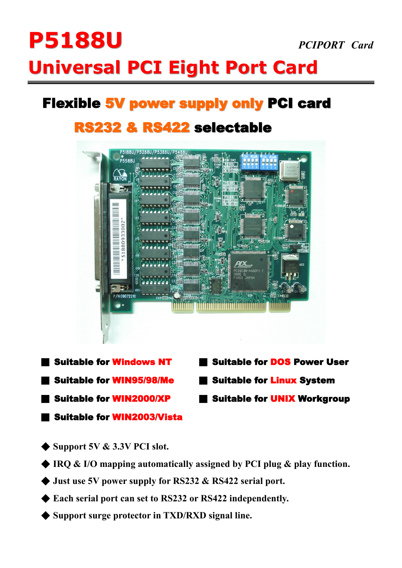# **P5188U** *PCIPORT Card*  **Universal PCI Eight Port Card**

# **Flexible 5V power supply only PCI card**

## **RS232 & RS422 selectable**



- 
- 
- 
- ■ **Suitable for WIN2003/Vista**
- ■ **Suitable for Windows NT** ■ **Suitable for DOS Power User**
- ■ **Suitable for WIN95/98/Me** ■ **Suitable for Linux System**
- ■ **Suitable for WIN2000/XP** ■ **Suitable for UNIX Workgroup**
- ◆ **Support 5V & 3.3V PCI slot.**
- ◆ **IRQ & I/O mapping automatically assigned by PCI plug & play function.**
- ◆ **Just use 5V power supply for RS232 & RS422 serial port.**
- ◆ **Each serial port can set to RS232 or RS422 independently.**
- ◆ **Support surge protector in TXD/RXD signal line.**